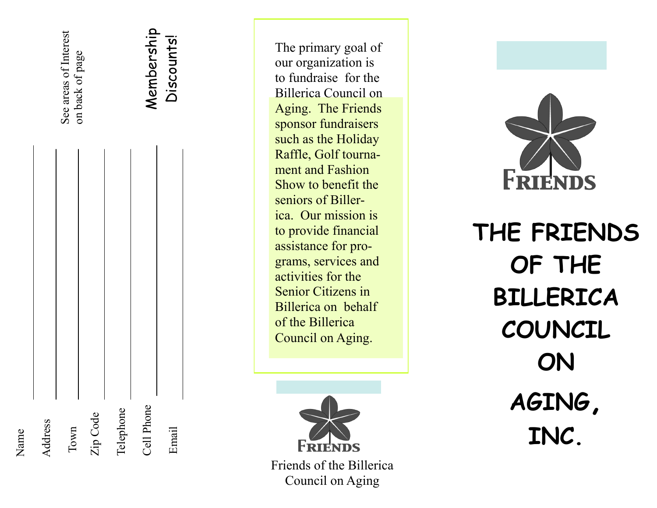

The primary goal of our organization is to fundraise for the Billerica Council on Aging. The Friends sponsor fundraisers such as the Holiday Raffle, Golf tournament and Fashion Show to benefit the seniors of Billerica. Our mission is to provide financial assistance for programs, services and activities for the Senior Citizens in Billerica on behalf of the Billerica Council on Aging.



Friends of the Billerica Council on Aging



**THE FRIENDS OF THE BILLERICA COUNCIL ON AGING, INC.**